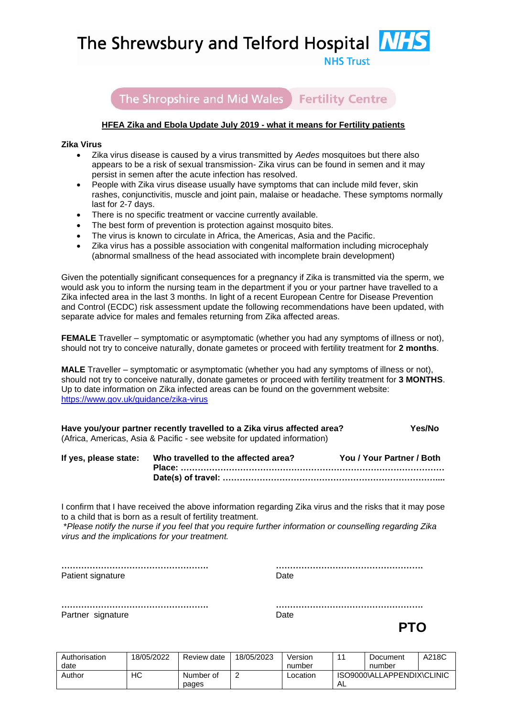The Shrewsbury and Telford Hospital **NIT** 



The Shropshire and Mid Wales Fertility Centre

## **HFEA Zika and Ebola Update July 2019 - what it means for Fertility patients**

## **Zika Virus**

- Zika virus disease is caused by a virus transmitted by *Aedes* mosquitoes but there also appears to be a risk of sexual transmission- Zika virus can be found in semen and it may persist in semen after the acute infection has resolved.
- People with Zika virus disease usually have symptoms that can include mild fever, skin rashes, conjunctivitis, muscle and joint pain, malaise or headache. These symptoms normally last for 2-7 days.
- There is no specific treatment or vaccine currently available.
- The best form of prevention is protection against mosquito bites.
- The virus is known to circulate in Africa, the Americas, Asia and the Pacific.
- Zika virus has a possible association with congenital malformation including microcephaly (abnormal smallness of the head associated with incomplete brain development)

Given the potentially significant consequences for a pregnancy if Zika is transmitted via the sperm, we would ask you to inform the nursing team in the department if you or your partner have travelled to a Zika infected area in the last 3 months. In light of a recent European Centre for Disease Prevention and Control (ECDC) risk assessment update the following recommendations have been updated, with separate advice for males and females returning from Zika affected areas.

**FEMALE** Traveller – symptomatic or asymptomatic (whether you had any symptoms of illness or not), should not try to conceive naturally, donate gametes or proceed with fertility treatment for **2 months**.

**MALE** Traveller – symptomatic or asymptomatic (whether you had any symptoms of illness or not), should not try to conceive naturally, donate gametes or proceed with fertility treatment for **3 MONTHS**. Up to date information on Zika infected areas can be found on the government website: <https://www.gov.uk/guidance/zika-virus>

| Have you/your partner recently travelled to a Zika virus affected area?  | Yes/No |
|--------------------------------------------------------------------------|--------|
| (Africa, Americas, Asia & Pacific - see website for updated information) |        |

| If yes, please state: Who travelled to the affected area? | You / Your Partner / Both |
|-----------------------------------------------------------|---------------------------|
|                                                           |                           |
|                                                           |                           |

I confirm that I have received the above information regarding Zika virus and the risks that it may pose to a child that is born as a result of fertility treatment.

\**Please notify the nurse if you feel that you require further information or counselling regarding Zika virus and the implications for your treatment.*

**……………………………………………. …………………………………………….** Patient signature Date

Partner signature Date

**……………………………………………. …………………………………………….**

*PTO* 

| Authorisation | 18/05/2022 | Review date | 18/05/2023 | Version  |                            | Document | A218C |
|---------------|------------|-------------|------------|----------|----------------------------|----------|-------|
| date          |            |             |            | number   |                            | number   |       |
| Author        | НC         | Number of   |            | Location | ISO9000\ALLAPPENDIX\CLINIC |          |       |
|               |            | pages       |            |          | ∴ A∟                       |          |       |